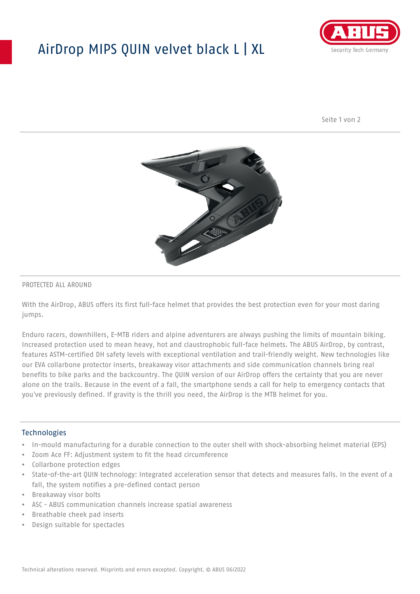## AirDrop MIPS QUIN velvet black L | XL



Seite 1 von 2



#### PROTECTED ALL AROUND

With the AirDrop, ABUS offers its first full-face helmet that provides the best protection even for your most daring jumps.

Enduro racers, downhillers, E-MTB riders and alpine adventurers are always pushing the limits of mountain biking. Increased protection used to mean heavy, hot and claustrophobic full-face helmets. The ABUS AirDrop, by contrast, features ASTM-certified DH safety levels with exceptional ventilation and trail-friendly weight. New technologies like our EVA collarbone protector inserts, breakaway visor attachments and side communication channels bring real benefits to bike parks and the backcountry. The QUIN version of our AirDrop offers the certainty that you are never alone on the trails. Because in the event of a fall, the smartphone sends a call for help to emergency contacts that you've previously defined. If gravity is the thrill you need, the AirDrop is the MTB helmet for you.

#### Technologies

- In-mould manufacturing for a durable connection to the outer shell with shock-absorbing helmet material (EPS)
- Zoom Ace FF: Adjustment system to fit the head circumference
- Collarbone protection edges
- State-of-the-art QUIN technology: Integrated acceleration sensor that detects and measures falls. In the event of a fall, the system notifies a pre-defined contact person
- Breakaway visor bolts
- ASC ABUS communication channels increase spatial awareness
- Breathable cheek pad inserts
- Design suitable for spectacles